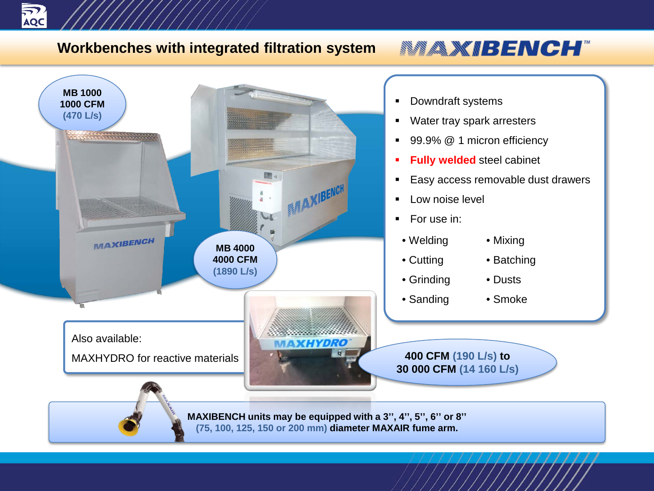

#### **Workbenches with integrated filtration system**

# **MAXIBENCH**

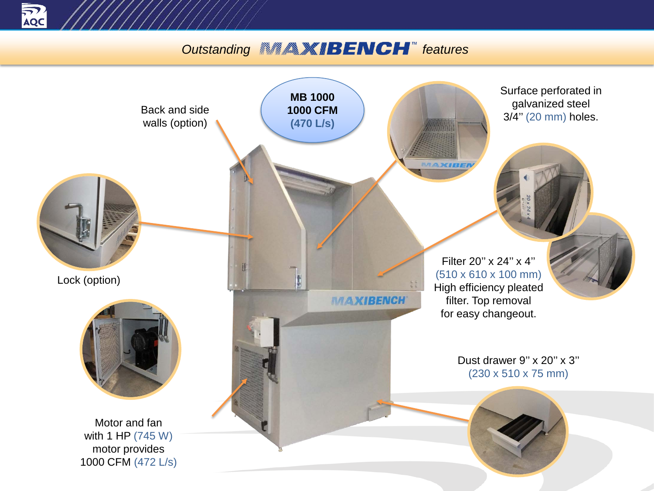

### **Outstanding <b>FACH features**

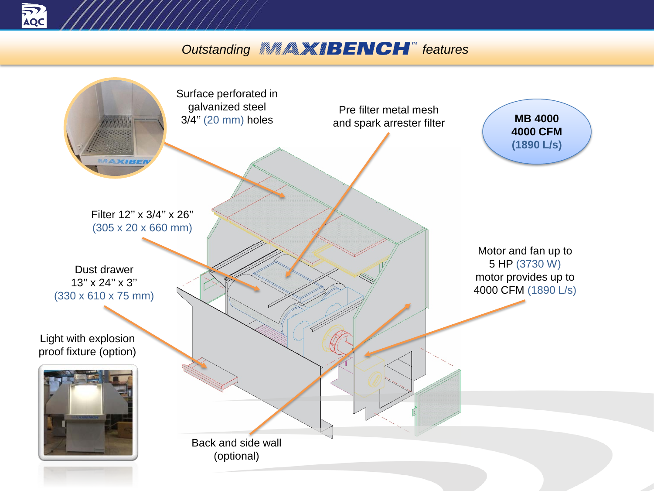

### **Outstanding <b>FACH**<sup>*m*</sup> features</sup>